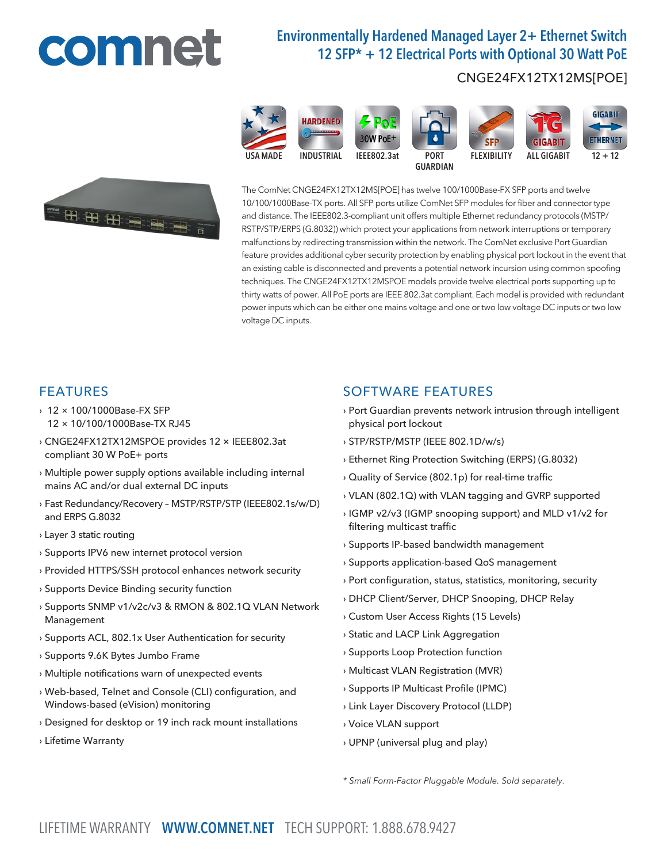# comnet

# Environmentally Hardened Managed Layer 2+ Ethernet Switch 12 SFP\* + 12 Electrical Ports with Optional 30 Watt PoE

## CNGE24FX12TX12MS[POE]



The ComNet CNGE24FX12TX12MS[POE] has twelve 100/1000Base-FX SFP ports and twelve 10/100/1000Base-TX ports. All SFP ports utilize ComNet SFP modules for fiber and connector type and distance. The IEEE802.3-compliant unit offers multiple Ethernet redundancy protocols (MSTP/ RSTP/STP/ERPS (G.8032)) which protect your applications from network interruptions or temporary malfunctions by redirecting transmission within the network. The ComNet exclusive Port Guardian feature provides additional cyber security protection by enabling physical port lockout in the event that an existing cable is disconnected and prevents a potential network incursion using common spoofing techniques. The CNGE24FX12TX12MSPOE models provide twelve electrical ports supporting up to thirty watts of power. All PoE ports are IEEE 802.3at compliant. Each model is provided with redundant power inputs which can be either one mains voltage and one or two low voltage DC inputs or two low voltage DC inputs.

## FEATURES

- › 12 × 100/1000Base-FX SFP 12 × 10/100/1000Base-TX RJ45
- › CNGE24FX12TX12MSPOE provides 12 × IEEE802.3at compliant 30 W PoE+ ports
- › Multiple power supply options available including internal mains AC and/or dual external DC inputs
- › Fast Redundancy/Recovery MSTP/RSTP/STP (IEEE802.1s/w/D) and ERPS G.8032
- › Layer 3 static routing
- › Supports IPV6 new internet protocol version
- › Provided HTTPS/SSH protocol enhances network security
- › Supports Device Binding security function
- › Supports SNMP v1/v2c/v3 & RMON & 802.1Q VLAN Network Management
- › Supports ACL, 802.1x User Authentication for security
- › Supports 9.6K Bytes Jumbo Frame
- › Multiple notifications warn of unexpected events
- › Web-based, Telnet and Console (CLI) configuration, and Windows-based (eVision) monitoring
- › Designed for desktop or 19 inch rack mount installations
- › Lifetime Warranty

## SOFTWARE FEATURES

- › Port Guardian prevents network intrusion through intelligent physical port lockout
- › STP/RSTP/MSTP (IEEE 802.1D/w/s)
- › Ethernet Ring Protection Switching (ERPS) (G.8032)
- › Quality of Service (802.1p) for real-time traffic
- › VLAN (802.1Q) with VLAN tagging and GVRP supported
- › IGMP v2/v3 (IGMP snooping support) and MLD v1/v2 for filtering multicast traffic
- › Supports IP-based bandwidth management
- › Supports application-based QoS management
- › Port configuration, status, statistics, monitoring, security
- › DHCP Client/Server, DHCP Snooping, DHCP Relay
- › Custom User Access Rights (15 Levels)
- › Static and LACP Link Aggregation
- › Supports Loop Protection function
- › Multicast VLAN Registration (MVR)
- › Supports IP Multicast Profile (IPMC)
- › Link Layer Discovery Protocol (LLDP)
- › Voice VLAN support
- › UPNP (universal plug and play)

*\* Small Form-Factor Pluggable Module. Sold separately.*

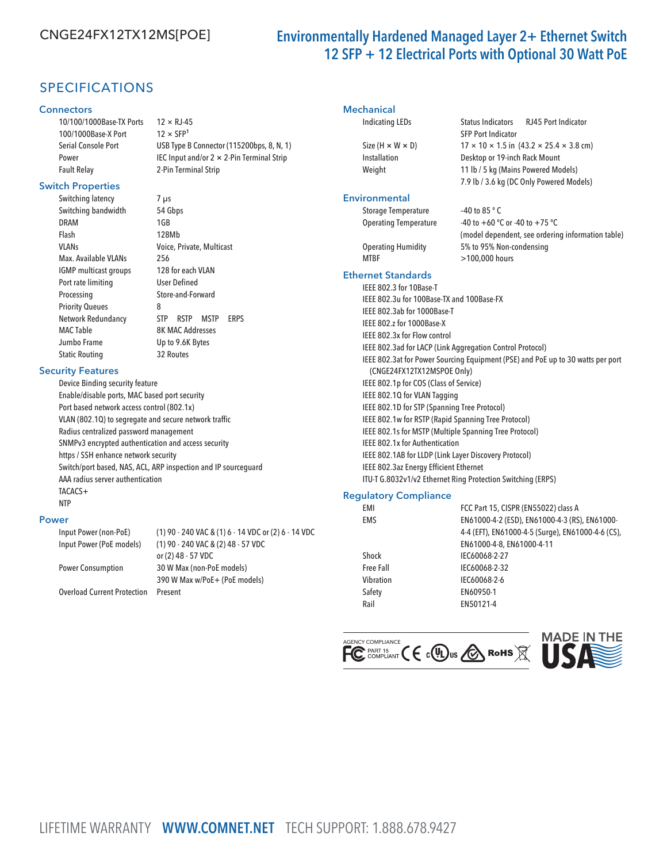## CNGE24FX12TX12MS[POE] Environmentally Hardened Managed Layer 2+ Ethernet Switch 12 SFP + 12 Electrical Ports with Optional 30 Watt PoE

SFP Port Indicator

## SPECIFICATIONS

#### **Connectors**

10/100/1000Base-TX Ports 12 × RJ-45 100/1000Base-X Port  $12 \times SFP<sup>1</sup>$ Fault Relay 2-Pin Terminal Strip

Serial Console Port USB Type B Connector (115200bps, 8, N, 1) Power IEC Input and/or 2 × 2-Pin Terminal Strip

#### Switch Properties

Switching latency 7 µs Switching bandwidth 54 Gbps DRAM 1GB Flash 128Mb Max. Available VLANs 256 IGMP multicast groups 128 for each VLAN Port rate limiting User Defined Processing Store-and-Forward Priority Queues 8 MAC Table 8K MAC Addresses Jumbo Frame Up to 9.6K Bytes Static Routing 32 Routes

VLANs Voice, Private, Multicast Network Redundancy STP RSTP MSTP ERPS

#### Security Features

Device Binding security feature Enable/disable ports, MAC based port security Port based network access control (802.1x) VLAN (802.1Q) to segregate and secure network traffic Radius centralized password management SNMPv3 encrypted authentication and access security https / SSH enhance network security Switch/port based, NAS, ACL, ARP inspection and IP sourceguard AAA radius server authentication TACACS+ NTP

#### Power

Input Power (non-PoE) (1) 90 - 240 VAC & (1) 6 - 14 VDC or (2) 6 - 14 VDC Input Power (PoE models) (1) 90 - 240 VAC & (2) 48 - 57 VDC or (2) 48 - 57 VDC Power Consumption 30 W Max (non-PoE models) 390 W Max w/PoE+ (PoE models) Overload Current Protection Present

#### **Mechanical**

#### Indicating LEDs Status Indicators RJ45 Port Indicator

Size (H  $\times$  W  $\times$  D) 17  $\times$  10  $\times$  1.5 in (43.2  $\times$  25.4  $\times$  3.8 cm) Installation Desktop or 19-inch Rack Mount Weight 11 lb / 5 kg (Mains Powered Models)

#### **Environmental**

7.9 lb / 3.6 kg (DC Only Powered Models) Storage Temperature -40 to 85 °C Operating Temperature -40 to +60 °C or -40 to +75 °C

(model dependent, see ordering information table) Operating Humidity 5% to 95% Non-condensing MTBF >100,000 hours

#### Ethernet Standards

IEEE 802.3 for 10Base-T IEEE 802.3u for 100Base-TX and 100Base-FX IEEE 802.3ab for 1000Base-T IEEE 802.z for 1000Base-X IEEE 802.3x for Flow control IEEE 802.3ad for LACP (Link Aggregation Control Protocol) IEEE 802.3at for Power Sourcing Equipment (PSE) and PoE up to 30 watts per port (CNGE24FX12TX12MSPOE Only) IEEE 802.1p for COS (Class of Service) IEEE 802.1Q for VLAN Tagging IEEE 802.1D for STP (Spanning Tree Protocol) IEEE 802.1w for RSTP (Rapid Spanning Tree Protocol) IEEE 802.1s for MSTP (Multiple Spanning Tree Protocol) IEEE 802.1x for Authentication IEEE 802.1AB for LLDP (Link Layer Discovery Protocol) IEEE 802.3az Energy Efficient Ethernet ITU-T G.8032v1/v2 Ethernet Ring Protection Switching (ERPS)

#### Regulatory Compliance

| EMI        | FCC Part 15, CISPR (EN55022) class A              |
|------------|---------------------------------------------------|
| <b>EMS</b> | EN61000-4-2 (ESD), EN61000-4-3 (RS), EN61000-     |
|            | 4-4 (EFT), EN61000-4-5 (Surge), EN61000-4-6 (CS), |
|            | EN61000-4-8, EN61000-4-11                         |
| Shock      | IEC60068-2-27                                     |
| Free Fall  | IEC60068-2-32                                     |
| Vibration  | IEC60068-2-6                                      |
| Safety     | EN60950-1                                         |
| Rail       | EN50121-4                                         |